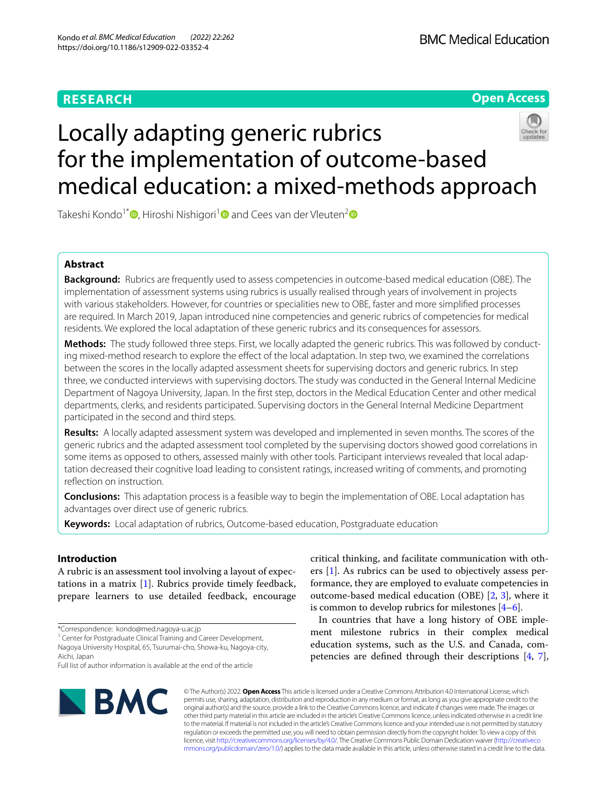# **RESEARCH**



# Locally adapting generic rubrics for the implementation of outcome-based medical education: a mixed-methods approach

Takeshi Kondo<sup>1\*</sup><sup>®</sup>[,](http://orcid.org/0000-0002-3307-671X) Hiroshi Nishigori<sup>[1](http://orcid.org/0000-0002-0715-7073)</sup><sup>®</sup> and Cees van der Vleuten<sup>[2](http://orcid.org/0000-0001-6802-3119)</sup><sup>®</sup>

# **Abstract**

**Background:** Rubrics are frequently used to assess competencies in outcome-based medical education (OBE). The implementation of assessment systems using rubrics is usually realised through years of involvement in projects with various stakeholders. However, for countries or specialities new to OBE, faster and more simplifed processes are required. In March 2019, Japan introduced nine competencies and generic rubrics of competencies for medical residents. We explored the local adaptation of these generic rubrics and its consequences for assessors.

**Methods:** The study followed three steps. First, we locally adapted the generic rubrics. This was followed by conducting mixed-method research to explore the efect of the local adaptation. In step two, we examined the correlations between the scores in the locally adapted assessment sheets for supervising doctors and generic rubrics. In step three, we conducted interviews with supervising doctors. The study was conducted in the General Internal Medicine Department of Nagoya University, Japan. In the frst step, doctors in the Medical Education Center and other medical departments, clerks, and residents participated. Supervising doctors in the General Internal Medicine Department participated in the second and third steps.

**Results:** A locally adapted assessment system was developed and implemented in seven months. The scores of the generic rubrics and the adapted assessment tool completed by the supervising doctors showed good correlations in some items as opposed to others, assessed mainly with other tools. Participant interviews revealed that local adaptation decreased their cognitive load leading to consistent ratings, increased writing of comments, and promoting refection on instruction.

**Conclusions:** This adaptation process is a feasible way to begin the implementation of OBE. Local adaptation has advantages over direct use of generic rubrics.

**Keywords:** Local adaptation of rubrics, Outcome-based education, Postgraduate education

# **Introduction**

A rubric is an assessment tool involving a layout of expectations in a matrix [[1](#page-9-0)]. Rubrics provide timely feedback, prepare learners to use detailed feedback, encourage

\*Correspondence: kondo@med.nagoya-u.ac.jp

<sup>1</sup> Center for Postgraduate Clinical Training and Career Development, Nagoya University Hospital, 65, Tsurumai-cho, Showa-ku, Nagoya-city, Aichi, Japan

Full list of author information is available at the end of the article



critical thinking, and facilitate communication with others [\[1](#page-9-0)]. As rubrics can be used to objectively assess performance, they are employed to evaluate competencies in outcome-based medical education (OBE) [\[2](#page-9-1), [3](#page-9-2)], where it is common to develop rubrics for milestones  $[4-6]$  $[4-6]$ .

In countries that have a long history of OBE implement milestone rubrics in their complex medical education systems, such as the U.S. and Canada, competencies are defned through their descriptions [[4,](#page-9-3) [7](#page-9-5)],

© The Author(s) 2022. **Open Access** This article is licensed under a Creative Commons Attribution 4.0 International License, which permits use, sharing, adaptation, distribution and reproduction in any medium or format, as long as you give appropriate credit to the original author(s) and the source, provide a link to the Creative Commons licence, and indicate if changes were made. The images or other third party material in this article are included in the article's Creative Commons licence, unless indicated otherwise in a credit line to the material. If material is not included in the article's Creative Commons licence and your intended use is not permitted by statutory regulation or exceeds the permitted use, you will need to obtain permission directly from the copyright holder. To view a copy of this licence, visit [http://creativecommons.org/licenses/by/4.0/.](http://creativecommons.org/licenses/by/4.0/) The Creative Commons Public Domain Dedication waiver ([http://creativeco](http://creativecommons.org/publicdomain/zero/1.0/) [mmons.org/publicdomain/zero/1.0/](http://creativecommons.org/publicdomain/zero/1.0/)) applies to the data made available in this article, unless otherwise stated in a credit line to the data.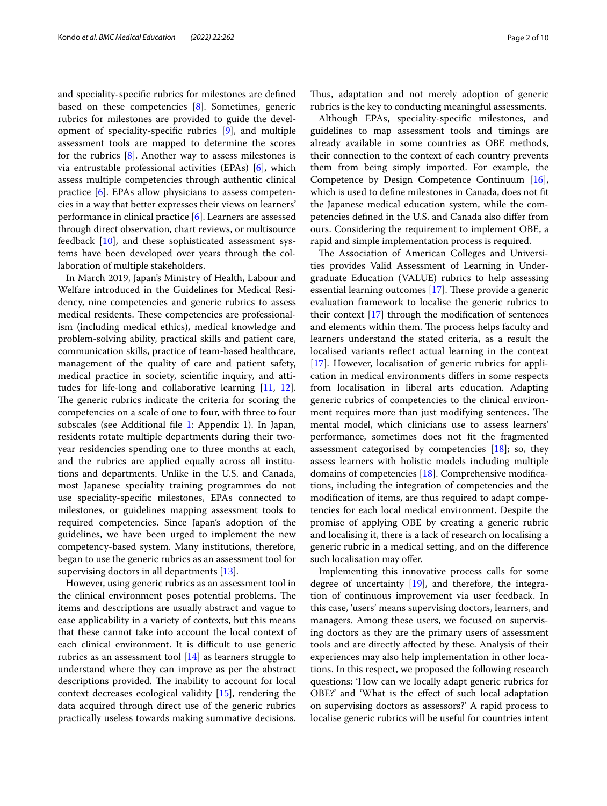and speciality-specifc rubrics for milestones are defned based on these competencies [\[8\]](#page-9-6). Sometimes, generic rubrics for milestones are provided to guide the development of speciality-specifc rubrics [\[9](#page-9-7)], and multiple assessment tools are mapped to determine the scores for the rubrics [[8\]](#page-9-6). Another way to assess milestones is via entrustable professional activities (EPAs) [\[6](#page-9-4)], which assess multiple competencies through authentic clinical practice [\[6](#page-9-4)]. EPAs allow physicians to assess competencies in a way that better expresses their views on learners' performance in clinical practice [[6\]](#page-9-4). Learners are assessed through direct observation, chart reviews, or multisource feedback [[10\]](#page-9-8), and these sophisticated assessment systems have been developed over years through the collaboration of multiple stakeholders.

In March 2019, Japan's Ministry of Health, Labour and Welfare introduced in the Guidelines for Medical Residency, nine competencies and generic rubrics to assess medical residents. These competencies are professionalism (including medical ethics), medical knowledge and problem-solving ability, practical skills and patient care, communication skills, practice of team-based healthcare, management of the quality of care and patient safety, medical practice in society, scientifc inquiry, and attitudes for life-long and collaborative learning [\[11](#page-9-9), [12](#page-9-10)]. The generic rubrics indicate the criteria for scoring the competencies on a scale of one to four, with three to four subscales (see Additional fle [1:](#page-8-0) Appendix 1). In Japan, residents rotate multiple departments during their twoyear residencies spending one to three months at each, and the rubrics are applied equally across all institutions and departments. Unlike in the U.S. and Canada, most Japanese speciality training programmes do not use speciality-specifc milestones, EPAs connected to milestones, or guidelines mapping assessment tools to required competencies. Since Japan's adoption of the guidelines, we have been urged to implement the new competency-based system. Many institutions, therefore, began to use the generic rubrics as an assessment tool for supervising doctors in all departments [[13\]](#page-9-11).

However, using generic rubrics as an assessment tool in the clinical environment poses potential problems. The items and descriptions are usually abstract and vague to ease applicability in a variety of contexts, but this means that these cannot take into account the local context of each clinical environment. It is difficult to use generic rubrics as an assessment tool [[14](#page-9-12)] as learners struggle to understand where they can improve as per the abstract descriptions provided. The inability to account for local context decreases ecological validity [\[15\]](#page-9-13), rendering the data acquired through direct use of the generic rubrics practically useless towards making summative decisions.

Thus, adaptation and not merely adoption of generic rubrics is the key to conducting meaningful assessments.

Although EPAs, speciality-specifc milestones, and guidelines to map assessment tools and timings are already available in some countries as OBE methods, their connection to the context of each country prevents them from being simply imported. For example, the Competence by Design Competence Continuum [\[16](#page-9-14)], which is used to defne milestones in Canada, does not ft the Japanese medical education system, while the competencies defned in the U.S. and Canada also difer from ours. Considering the requirement to implement OBE, a rapid and simple implementation process is required.

The Association of American Colleges and Universities provides Valid Assessment of Learning in Undergraduate Education (VALUE) rubrics to help assessing essential learning outcomes  $[17]$  $[17]$ . These provide a generic evaluation framework to localise the generic rubrics to their context  $[17]$  through the modification of sentences and elements within them. The process helps faculty and learners understand the stated criteria, as a result the localised variants refect actual learning in the context [[17\]](#page-9-15). However, localisation of generic rubrics for application in medical environments difers in some respects from localisation in liberal arts education. Adapting generic rubrics of competencies to the clinical environment requires more than just modifying sentences. The mental model, which clinicians use to assess learners' performance, sometimes does not ft the fragmented assessment categorised by competencies [[18\]](#page-9-16); so, they assess learners with holistic models including multiple domains of competencies [[18\]](#page-9-16). Comprehensive modifcations, including the integration of competencies and the modifcation of items, are thus required to adapt competencies for each local medical environment. Despite the promise of applying OBE by creating a generic rubric and localising it, there is a lack of research on localising a generic rubric in a medical setting, and on the diference such localisation may offer.

Implementing this innovative process calls for some degree of uncertainty [\[19](#page-9-17)], and therefore, the integration of continuous improvement via user feedback. In this case, 'users' means supervising doctors, learners, and managers. Among these users, we focused on supervising doctors as they are the primary users of assessment tools and are directly afected by these. Analysis of their experiences may also help implementation in other locations. In this respect, we proposed the following research questions: 'How can we locally adapt generic rubrics for OBE?' and 'What is the efect of such local adaptation on supervising doctors as assessors?' A rapid process to localise generic rubrics will be useful for countries intent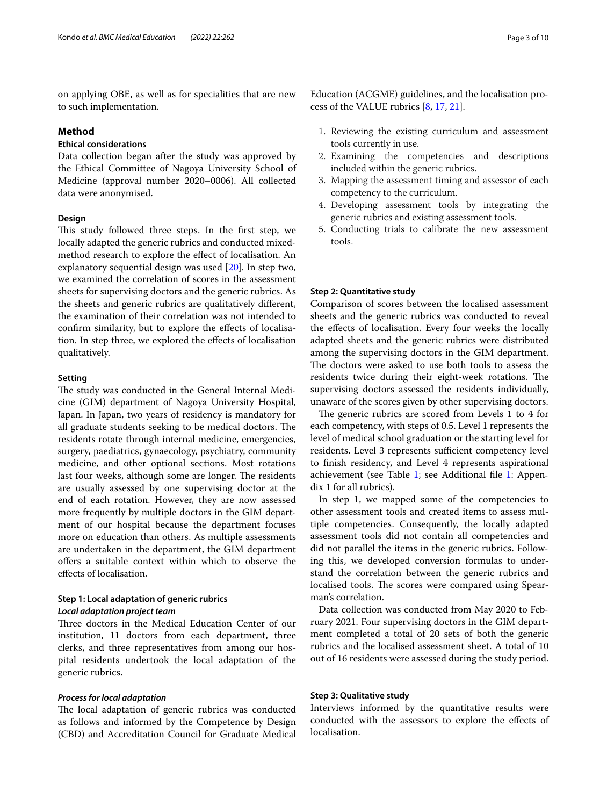on applying OBE, as well as for specialities that are new to such implementation.

# **Method**

# **Ethical considerations**

Data collection began after the study was approved by the Ethical Committee of Nagoya University School of Medicine (approval number 2020–0006). All collected data were anonymised.

# **Design**

This study followed three steps. In the first step, we locally adapted the generic rubrics and conducted mixedmethod research to explore the efect of localisation. An explanatory sequential design was used [\[20](#page-9-18)]. In step two, we examined the correlation of scores in the assessment sheets for supervising doctors and the generic rubrics. As the sheets and generic rubrics are qualitatively diferent, the examination of their correlation was not intended to confrm similarity, but to explore the efects of localisation. In step three, we explored the efects of localisation qualitatively.

## **Setting**

The study was conducted in the General Internal Medicine (GIM) department of Nagoya University Hospital, Japan. In Japan, two years of residency is mandatory for all graduate students seeking to be medical doctors. The residents rotate through internal medicine, emergencies, surgery, paediatrics, gynaecology, psychiatry, community medicine, and other optional sections. Most rotations last four weeks, although some are longer. The residents are usually assessed by one supervising doctor at the end of each rotation. However, they are now assessed more frequently by multiple doctors in the GIM department of our hospital because the department focuses more on education than others. As multiple assessments are undertaken in the department, the GIM department ofers a suitable context within which to observe the efects of localisation.

# **Step 1: Local adaptation of generic rubrics** *Local adaptation project team*

Three doctors in the Medical Education Center of our institution, 11 doctors from each department, three clerks, and three representatives from among our hospital residents undertook the local adaptation of the generic rubrics.

# *Process for local adaptation*

The local adaptation of generic rubrics was conducted as follows and informed by the Competence by Design (CBD) and Accreditation Council for Graduate Medical

Education (ACGME) guidelines, and the localisation process of the VALUE rubrics [\[8](#page-9-6), [17,](#page-9-15) [21](#page-9-19)].

- 1. Reviewing the existing curriculum and assessment tools currently in use.
- 2. Examining the competencies and descriptions included within the generic rubrics.
- 3. Mapping the assessment timing and assessor of each competency to the curriculum.
- 4. Developing assessment tools by integrating the generic rubrics and existing assessment tools.
- 5. Conducting trials to calibrate the new assessment tools.

## **Step 2: Quantitative study**

Comparison of scores between the localised assessment sheets and the generic rubrics was conducted to reveal the efects of localisation. Every four weeks the locally adapted sheets and the generic rubrics were distributed among the supervising doctors in the GIM department. The doctors were asked to use both tools to assess the residents twice during their eight-week rotations. The supervising doctors assessed the residents individually, unaware of the scores given by other supervising doctors.

The generic rubrics are scored from Levels 1 to 4 for each competency, with steps of 0.5. Level 1 represents the level of medical school graduation or the starting level for residents. Level 3 represents sufficient competency level to fnish residency, and Level 4 represents aspirational achievement (see Table [1;](#page-3-0) see Additional fle [1:](#page-8-0) Appendix 1 for all rubrics).

In step 1, we mapped some of the competencies to other assessment tools and created items to assess multiple competencies. Consequently, the locally adapted assessment tools did not contain all competencies and did not parallel the items in the generic rubrics. Following this, we developed conversion formulas to understand the correlation between the generic rubrics and localised tools. The scores were compared using Spearman's correlation.

Data collection was conducted from May 2020 to February 2021. Four supervising doctors in the GIM department completed a total of 20 sets of both the generic rubrics and the localised assessment sheet. A total of 10 out of 16 residents were assessed during the study period.

## **Step 3: Qualitative study**

Interviews informed by the quantitative results were conducted with the assessors to explore the efects of localisation.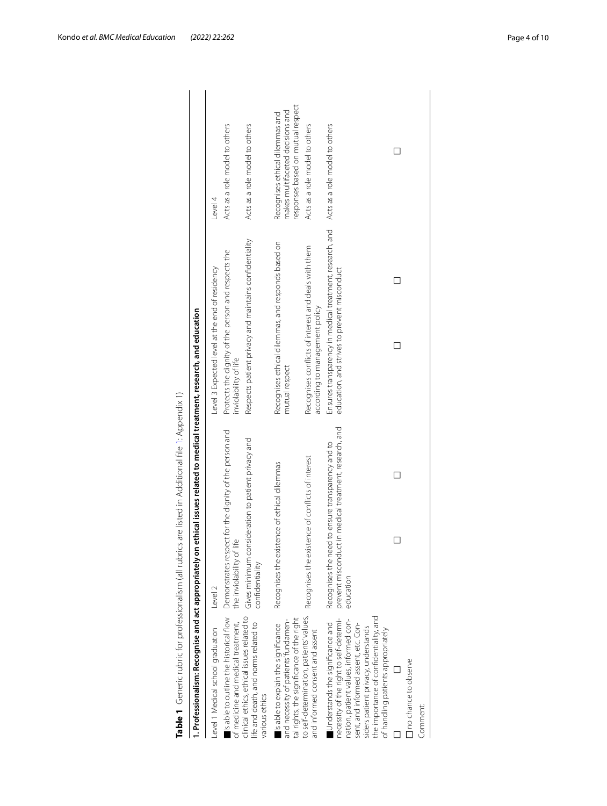<span id="page-3-0"></span>

| 1. Professionalism: Recognise and act appropriately on                                                                                                                                                                                                                              | ethical issues related to medical treatment, research, and education                                                     |                                                                                                          |                                                                                                          |
|-------------------------------------------------------------------------------------------------------------------------------------------------------------------------------------------------------------------------------------------------------------------------------------|--------------------------------------------------------------------------------------------------------------------------|----------------------------------------------------------------------------------------------------------|----------------------------------------------------------------------------------------------------------|
| Level 1 Medical school graduation                                                                                                                                                                                                                                                   | Level 2                                                                                                                  | Level 3 Expected level at the end of residency                                                           | Level 4                                                                                                  |
| Is able to outline the historical flow<br>of medicine and medical treatment,                                                                                                                                                                                                        | Demonstrates respect for the dignity of the person and<br>the inviolability of life                                      | Protects the dignity of the person and respects the<br>inviolability of life                             | Acts as a role model to others                                                                           |
| clinical ethics, ethical issues related to<br>life and death, and norms related to<br>various ethics                                                                                                                                                                                | Gives minimum consideration to patient privacy and<br>confidentiality                                                    | Respects patient privacy and maintains confidentiality                                                   | Acts as a role model to others                                                                           |
| tal rights, the significance of the right<br>and necessity of patients' fundamen-<br>Is able to explain the significance                                                                                                                                                            | Recognises the existence of ethical dilemmas                                                                             | Recognises ethical dilemmas, and responds based on<br>mutual respect                                     | responses based on mutual respect<br>makes multifaceted decisions and<br>Recognises ethical dilemmas and |
| to self-determination, patients' values,<br>and informed consent and assent                                                                                                                                                                                                         | Recognises the existence of conflicts of interest                                                                        | Recognises conflicts of interest and deals with them<br>according to management policy                   | Acts as a role model to others                                                                           |
| the importance of confidentiality, and<br>necessity of the right to self-determi-<br>nation, patient values, informed con-<br>Understands the significance and<br>sent, and informed assent, etc. Con-<br>siders patient privacy, understands<br>of handling patients appropriately | prevent misconduct in medical treatment, research, and<br>Recognises the need to ensure transparency and to<br>education | Ensures transparency in medical treatment, research, and<br>education, and strives to prevent misconduct | Acts as a role model to others                                                                           |
| no chance to observe<br>Comment:                                                                                                                                                                                                                                                    |                                                                                                                          |                                                                                                          |                                                                                                          |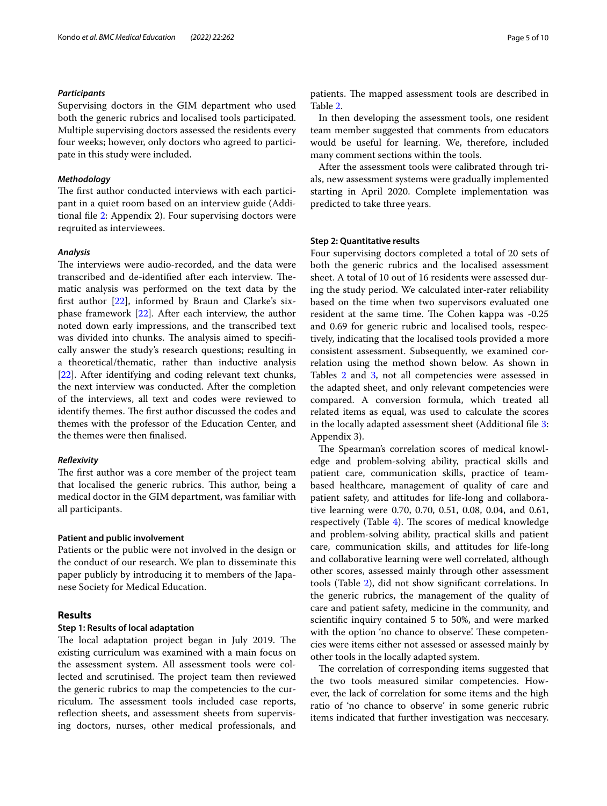## *Participants*

Supervising doctors in the GIM department who used both the generic rubrics and localised tools participated. Multiple supervising doctors assessed the residents every four weeks; however, only doctors who agreed to participate in this study were included.

## *Methodology*

The first author conducted interviews with each participant in a quiet room based on an interview guide (Additional fle [2](#page-8-1): Appendix 2). Four supervising doctors were reqruited as interviewees.

## *Analysis*

The interviews were audio-recorded, and the data were transcribed and de-identified after each interview. Thematic analysis was performed on the text data by the frst author [[22](#page-9-20)], informed by Braun and Clarke's sixphase framework [[22\]](#page-9-20). After each interview, the author noted down early impressions, and the transcribed text was divided into chunks. The analysis aimed to specifically answer the study's research questions; resulting in a theoretical/thematic, rather than inductive analysis [[22\]](#page-9-20). After identifying and coding relevant text chunks, the next interview was conducted. After the completion of the interviews, all text and codes were reviewed to identify themes. The first author discussed the codes and themes with the professor of the Education Center, and the themes were then fnalised.

# *Refexivity*

The first author was a core member of the project team that localised the generic rubrics. This author, being a medical doctor in the GIM department, was familiar with all participants.

# **Patient and public involvement**

Patients or the public were not involved in the design or the conduct of our research. We plan to disseminate this paper publicly by introducing it to members of the Japanese Society for Medical Education.

# **Results**

## **Step 1: Results of local adaptation**

The local adaptation project began in July 2019. The existing curriculum was examined with a main focus on the assessment system. All assessment tools were collected and scrutinised. The project team then reviewed the generic rubrics to map the competencies to the curriculum. The assessment tools included case reports, reflection sheets, and assessment sheets from supervising doctors, nurses, other medical professionals, and patients. The mapped assessment tools are described in Table [2](#page-5-0).

In then developing the assessment tools, one resident team member suggested that comments from educators would be useful for learning. We, therefore, included many comment sections within the tools.

After the assessment tools were calibrated through trials, new assessment systems were gradually implemented starting in April 2020. Complete implementation was predicted to take three years.

## **Step 2: Quantitative results**

Four supervising doctors completed a total of 20 sets of both the generic rubrics and the localised assessment sheet. A total of 10 out of 16 residents were assessed during the study period. We calculated inter-rater reliability based on the time when two supervisors evaluated one resident at the same time. The Cohen kappa was -0.25 and 0.69 for generic rubric and localised tools, respectively, indicating that the localised tools provided a more consistent assessment. Subsequently, we examined correlation using the method shown below. As shown in Tables [2](#page-5-0) and [3,](#page-5-1) not all competencies were assessed in the adapted sheet, and only relevant competencies were compared. A conversion formula, which treated all related items as equal, was used to calculate the scores in the locally adapted assessment sheet (Additional fle [3](#page-8-2): Appendix 3).

The Spearman's correlation scores of medical knowledge and problem-solving ability, practical skills and patient care, communication skills, practice of teambased healthcare, management of quality of care and patient safety, and attitudes for life-long and collaborative learning were 0.70, 0.70, 0.51, 0.08, 0.04, and 0.61, respectively (Table [4\)](#page-6-0). The scores of medical knowledge and problem-solving ability, practical skills and patient care, communication skills, and attitudes for life-long and collaborative learning were well correlated, although other scores, assessed mainly through other assessment tools (Table [2](#page-5-0)), did not show signifcant correlations. In the generic rubrics, the management of the quality of care and patient safety, medicine in the community, and scientifc inquiry contained 5 to 50%, and were marked with the option 'no chance to observe'. These competencies were items either not assessed or assessed mainly by other tools in the locally adapted system.

The correlation of corresponding items suggested that the two tools measured similar competencies. However, the lack of correlation for some items and the high ratio of 'no chance to observe' in some generic rubric items indicated that further investigation was neccesary.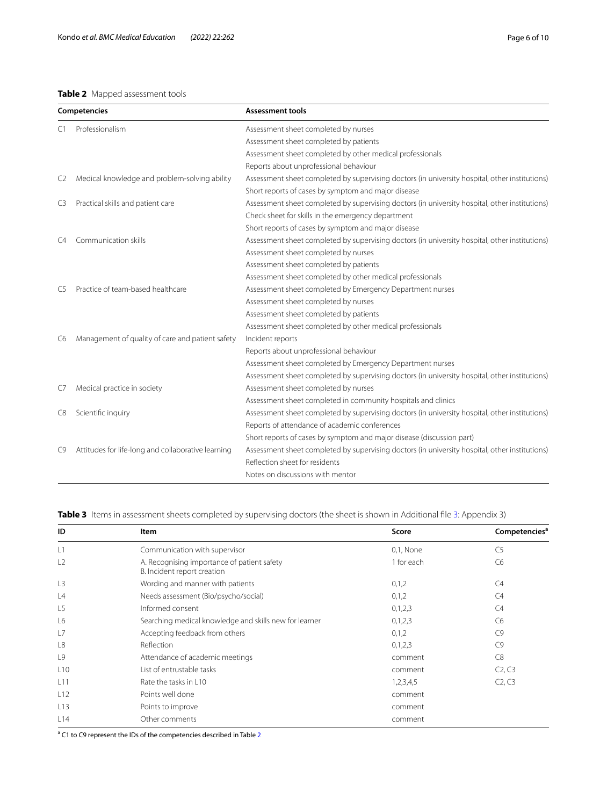# <span id="page-5-0"></span>**Table 2** Mapped assessment tools

| Competencies   |                                                    | <b>Assessment tools</b>                                                                        |  |
|----------------|----------------------------------------------------|------------------------------------------------------------------------------------------------|--|
| C <sub>1</sub> | Professionalism                                    | Assessment sheet completed by nurses                                                           |  |
|                |                                                    | Assessment sheet completed by patients                                                         |  |
|                |                                                    | Assessment sheet completed by other medical professionals                                      |  |
|                |                                                    | Reports about unprofessional behaviour                                                         |  |
| C2             | Medical knowledge and problem-solving ability      | Assessment sheet completed by supervising doctors (in university hospital, other institutions) |  |
|                |                                                    | Short reports of cases by symptom and major disease                                            |  |
| C3             | Practical skills and patient care                  | Assessment sheet completed by supervising doctors (in university hospital, other institutions) |  |
|                |                                                    | Check sheet for skills in the emergency department                                             |  |
|                |                                                    | Short reports of cases by symptom and major disease                                            |  |
| C4             | Communication skills                               | Assessment sheet completed by supervising doctors (in university hospital, other institutions) |  |
|                |                                                    | Assessment sheet completed by nurses                                                           |  |
|                |                                                    | Assessment sheet completed by patients                                                         |  |
|                |                                                    | Assessment sheet completed by other medical professionals                                      |  |
| C5             | Practice of team-based healthcare                  | Assessment sheet completed by Emergency Department nurses                                      |  |
|                |                                                    | Assessment sheet completed by nurses                                                           |  |
|                |                                                    | Assessment sheet completed by patients                                                         |  |
|                |                                                    | Assessment sheet completed by other medical professionals                                      |  |
| C <sub>6</sub> | Management of quality of care and patient safety   | Incident reports                                                                               |  |
|                |                                                    | Reports about unprofessional behaviour                                                         |  |
|                |                                                    | Assessment sheet completed by Emergency Department nurses                                      |  |
|                |                                                    | Assessment sheet completed by supervising doctors (in university hospital, other institutions) |  |
| C7             | Medical practice in society                        | Assessment sheet completed by nurses                                                           |  |
|                |                                                    | Assessment sheet completed in community hospitals and clinics                                  |  |
| C8             | Scientific inquiry                                 | Assessment sheet completed by supervising doctors (in university hospital, other institutions) |  |
|                |                                                    | Reports of attendance of academic conferences                                                  |  |
|                |                                                    | Short reports of cases by symptom and major disease (discussion part)                          |  |
| C9             | Attitudes for life-long and collaborative learning | Assessment sheet completed by supervising doctors (in university hospital, other institutions) |  |
|                |                                                    | Reflection sheet for residents                                                                 |  |
|                |                                                    | Notes on discussions with mentor                                                               |  |

# <span id="page-5-1"></span>**Table [3](#page-8-2)** Items in assessment sheets completed by supervising doctors (the sheet is shown in Additional file 3: Appendix 3)

| ID  | Item                                                                       | Score      | Competencies <sup>a</sup>       |
|-----|----------------------------------------------------------------------------|------------|---------------------------------|
| L1  | Communication with supervisor                                              | 0,1, None  | C <sub>5</sub>                  |
| L2  | A. Recognising importance of patient safety<br>B. Incident report creation | 1 for each | C6                              |
| L3  | Wording and manner with patients                                           | 0,1,2      | C <sub>4</sub>                  |
| L4  | Needs assessment (Bio/psycho/social)                                       | 0,1,2      | C4                              |
| L5  | Informed consent                                                           | 0,1,2,3    | C <sub>4</sub>                  |
| L6  | Searching medical knowledge and skills new for learner                     | 0,1,2,3    | C6                              |
| L7  | Accepting feedback from others                                             | 0,1,2      | C9                              |
| L8  | Reflection                                                                 | 0,1,2,3    | C9                              |
| L9  | Attendance of academic meetings                                            | comment    | C8                              |
| L10 | List of entrustable tasks                                                  | comment    | C <sub>2</sub> , C <sub>3</sub> |
| L11 | Rate the tasks in L10                                                      | 1,2,3,4,5  | C2, C3                          |
| L12 | Points well done                                                           | comment    |                                 |
| L13 | Points to improve                                                          | comment    |                                 |
| L14 | Other comments                                                             | comment    |                                 |

<sup>a</sup> C1 to C9 represent the IDs of the competencies described in Table [2](#page-5-0)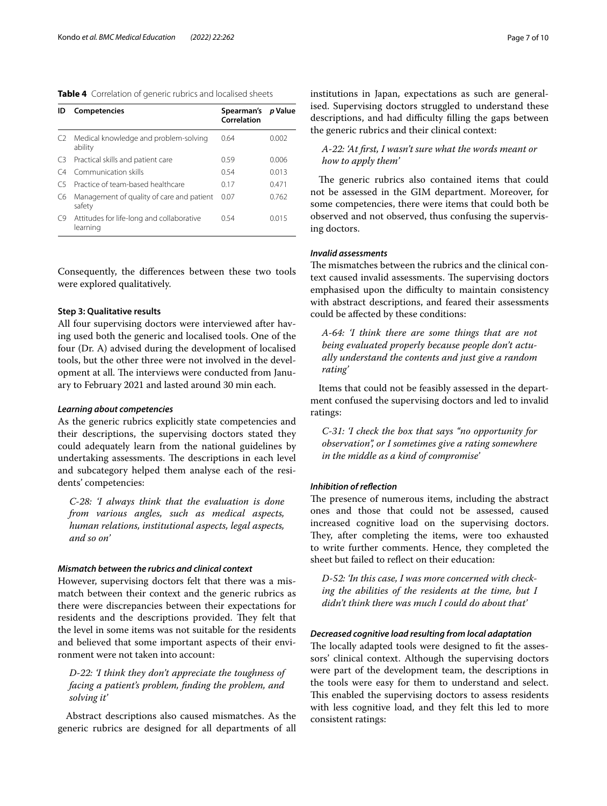<span id="page-6-0"></span>

| ID             | <b>Competencies</b>                                   | Spearman's<br>Correlation | p Value |
|----------------|-------------------------------------------------------|---------------------------|---------|
| C <sub>2</sub> | Medical knowledge and problem-solving<br>ability      | 0.64                      | 0.002   |
| C3             | Practical skills and patient care                     | 0.59                      | 0.006   |
| C4             | Communication skills                                  | 0.54                      | 0.013   |
| C5             | Practice of team-based healthcare                     | 0.17                      | 0.471   |
| C6             | Management of quality of care and patient<br>safety   | 0.07                      | 0.762   |
| C9             | Attitudes for life-long and collaborative<br>learning | 0.54                      | 0015    |

Consequently, the diferences between these two tools were explored qualitatively.

# **Step 3: Qualitative results**

All four supervising doctors were interviewed after having used both the generic and localised tools. One of the four (Dr. A) advised during the development of localised tools, but the other three were not involved in the development at all. The interviews were conducted from January to February 2021 and lasted around 30 min each.

## *Learning about competencies*

As the generic rubrics explicitly state competencies and their descriptions, the supervising doctors stated they could adequately learn from the national guidelines by undertaking assessments. The descriptions in each level and subcategory helped them analyse each of the residents' competencies:

*C-28: 'I always think that the evaluation is done from various angles, such as medical aspects, human relations, institutional aspects, legal aspects, and so on'*

# *Mismatch between the rubrics and clinical context*

However, supervising doctors felt that there was a mismatch between their context and the generic rubrics as there were discrepancies between their expectations for residents and the descriptions provided. They felt that the level in some items was not suitable for the residents and believed that some important aspects of their environment were not taken into account:

# *D-22: 'I think they don't appreciate the toughness of facing a patient's problem, fnding the problem, and solving it'*

Abstract descriptions also caused mismatches. As the generic rubrics are designed for all departments of all institutions in Japan, expectations as such are generalised. Supervising doctors struggled to understand these descriptions, and had difficulty filling the gaps between the generic rubrics and their clinical context:

# *A-22: 'At frst, I wasn't sure what the words meant or how to apply them'*

The generic rubrics also contained items that could not be assessed in the GIM department. Moreover, for some competencies, there were items that could both be observed and not observed, thus confusing the supervising doctors.

# *Invalid assessments*

The mismatches between the rubrics and the clinical context caused invalid assessments. The supervising doctors emphasised upon the difficulty to maintain consistency with abstract descriptions, and feared their assessments could be afected by these conditions:

*A-64: 'I think there are some things that are not being evaluated properly because people don't actually understand the contents and just give a random rating'*

Items that could not be feasibly assessed in the department confused the supervising doctors and led to invalid ratings:

*C-31: 'I check the box that says "no opportunity for observation", or I sometimes give a rating somewhere in the middle as a kind of compromise'*

## *Inhibition of refection*

The presence of numerous items, including the abstract ones and those that could not be assessed, caused increased cognitive load on the supervising doctors. They, after completing the items, were too exhausted to write further comments. Hence, they completed the sheet but failed to refect on their education:

*D-52: 'In this case, I was more concerned with checking the abilities of the residents at the time, but I didn't think there was much I could do about that'*

## *Decreased cognitive load resulting from local adaptation*

The locally adapted tools were designed to fit the assessors' clinical context. Although the supervising doctors were part of the development team, the descriptions in the tools were easy for them to understand and select. This enabled the supervising doctors to assess residents with less cognitive load, and they felt this led to more consistent ratings: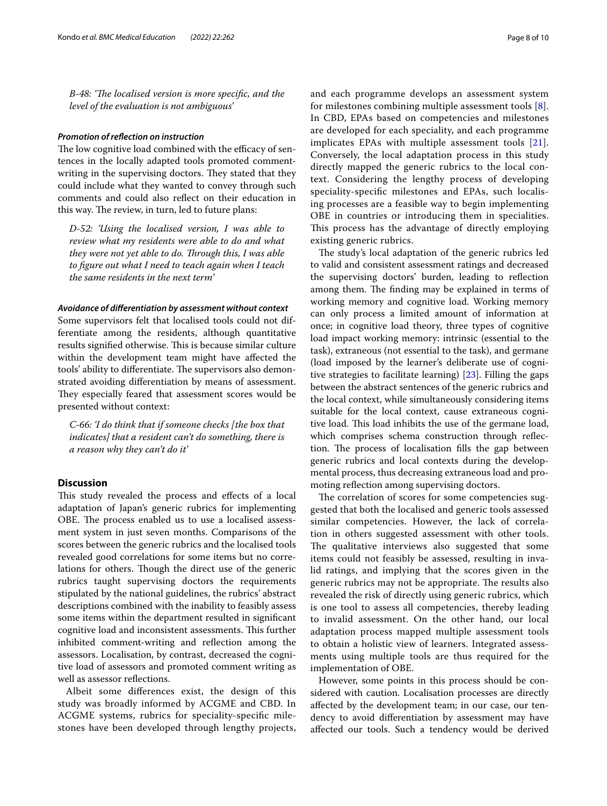*B-48: 'Te localised version is more specifc, and the level of the evaluation is not ambiguous'*

## *Promotion of refection on instruction*

The low cognitive load combined with the efficacy of sentences in the locally adapted tools promoted commentwriting in the supervising doctors. They stated that they could include what they wanted to convey through such comments and could also refect on their education in this way. The review, in turn, led to future plans:

*D-52: 'Using the localised version, I was able to review what my residents were able to do and what they were not yet able to do. Through this, I was able to fgure out what I need to teach again when I teach the same residents in the next term'*

## *Avoidance of diferentiation by assessment without context*

Some supervisors felt that localised tools could not differentiate among the residents, although quantitative results signified otherwise. This is because similar culture within the development team might have afected the tools' ability to differentiate. The supervisors also demonstrated avoiding diferentiation by means of assessment. They especially feared that assessment scores would be presented without context:

*C-66: 'I do think that if someone checks [the box that indicates] that a resident can't do something, there is a reason why they can't do it'*

# **Discussion**

This study revealed the process and effects of a local adaptation of Japan's generic rubrics for implementing OBE. The process enabled us to use a localised assessment system in just seven months. Comparisons of the scores between the generic rubrics and the localised tools revealed good correlations for some items but no correlations for others. Though the direct use of the generic rubrics taught supervising doctors the requirements stipulated by the national guidelines, the rubrics' abstract descriptions combined with the inability to feasibly assess some items within the department resulted in signifcant cognitive load and inconsistent assessments. This further inhibited comment-writing and refection among the assessors. Localisation, by contrast, decreased the cognitive load of assessors and promoted comment writing as well as assessor refections.

Albeit some diferences exist, the design of this study was broadly informed by ACGME and CBD. In ACGME systems, rubrics for speciality-specifc milestones have been developed through lengthy projects, and each programme develops an assessment system for milestones combining multiple assessment tools [[8](#page-9-6)]. In CBD, EPAs based on competencies and milestones are developed for each speciality, and each programme implicates EPAs with multiple assessment tools [[21\]](#page-9-19). Conversely, the local adaptation process in this study directly mapped the generic rubrics to the local context. Considering the lengthy process of developing speciality-specifc milestones and EPAs, such localising processes are a feasible way to begin implementing OBE in countries or introducing them in specialities. This process has the advantage of directly employing existing generic rubrics.

The study's local adaptation of the generic rubrics led to valid and consistent assessment ratings and decreased the supervising doctors' burden, leading to refection among them. The finding may be explained in terms of working memory and cognitive load. Working memory can only process a limited amount of information at once; in cognitive load theory, three types of cognitive load impact working memory: intrinsic (essential to the task), extraneous (not essential to the task), and germane (load imposed by the learner's deliberate use of cognitive strategies to facilitate learning) [\[23](#page-9-21)]. Filling the gaps between the abstract sentences of the generic rubrics and the local context, while simultaneously considering items suitable for the local context, cause extraneous cognitive load. This load inhibits the use of the germane load, which comprises schema construction through reflection. The process of localisation fills the gap between generic rubrics and local contexts during the developmental process, thus decreasing extraneous load and promoting reflection among supervising doctors.

The correlation of scores for some competencies suggested that both the localised and generic tools assessed similar competencies. However, the lack of correlation in others suggested assessment with other tools. The qualitative interviews also suggested that some items could not feasibly be assessed, resulting in invalid ratings, and implying that the scores given in the generic rubrics may not be appropriate. The results also revealed the risk of directly using generic rubrics, which is one tool to assess all competencies, thereby leading to invalid assessment. On the other hand, our local adaptation process mapped multiple assessment tools to obtain a holistic view of learners. Integrated assessments using multiple tools are thus required for the implementation of OBE.

However, some points in this process should be considered with caution. Localisation processes are directly afected by the development team; in our case, our tendency to avoid diferentiation by assessment may have afected our tools. Such a tendency would be derived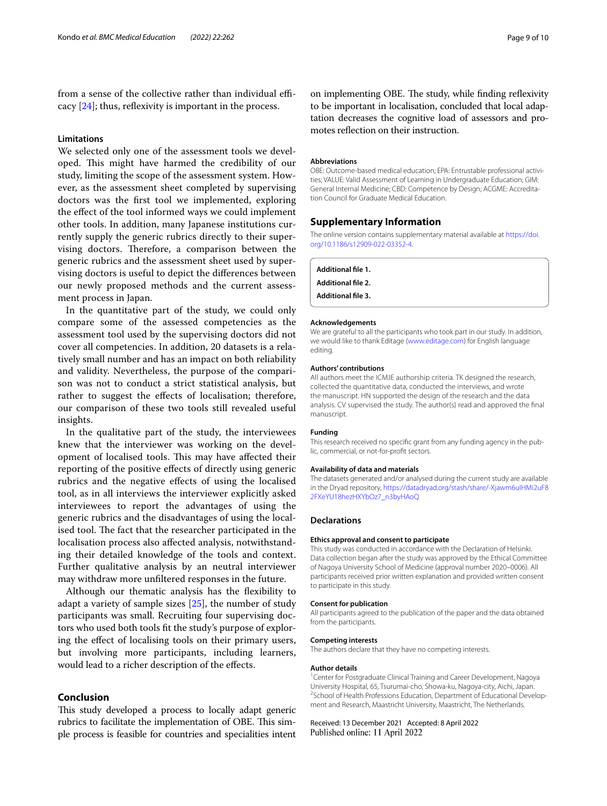from a sense of the collective rather than individual efficacy  $[24]$  $[24]$ ; thus, reflexivity is important in the process.

# **Limitations**

We selected only one of the assessment tools we developed. This might have harmed the credibility of our study, limiting the scope of the assessment system. However, as the assessment sheet completed by supervising doctors was the frst tool we implemented, exploring the efect of the tool informed ways we could implement other tools. In addition, many Japanese institutions currently supply the generic rubrics directly to their supervising doctors. Therefore, a comparison between the generic rubrics and the assessment sheet used by supervising doctors is useful to depict the diferences between our newly proposed methods and the current assessment process in Japan.

In the quantitative part of the study, we could only compare some of the assessed competencies as the assessment tool used by the supervising doctors did not cover all competencies. In addition, 20 datasets is a relatively small number and has an impact on both reliability and validity. Nevertheless, the purpose of the comparison was not to conduct a strict statistical analysis, but rather to suggest the efects of localisation; therefore, our comparison of these two tools still revealed useful insights.

In the qualitative part of the study, the interviewees knew that the interviewer was working on the development of localised tools. This may have affected their reporting of the positive efects of directly using generic rubrics and the negative efects of using the localised tool, as in all interviews the interviewer explicitly asked interviewees to report the advantages of using the generic rubrics and the disadvantages of using the localised tool. The fact that the researcher participated in the localisation process also afected analysis, notwithstanding their detailed knowledge of the tools and context. Further qualitative analysis by an neutral interviewer may withdraw more unfltered responses in the future.

Although our thematic analysis has the fexibility to adapt a variety of sample sizes [\[25\]](#page-9-23), the number of study participants was small. Recruiting four supervising doctors who used both tools ft the study's purpose of exploring the efect of localising tools on their primary users, but involving more participants, including learners, would lead to a richer description of the efects.

# **Conclusion**

This study developed a process to locally adapt generic rubrics to facilitate the implementation of OBE. This simple process is feasible for countries and specialities intent

on implementing OBE. The study, while finding reflexivity to be important in localisation, concluded that local adaptation decreases the cognitive load of assessors and promotes refection on their instruction.

### **Abbreviations**

OBE: Outcome-based medical education; EPA: Entrustable professional activities; VALUE: Valid Assessment of Learning in Undergraduate Education; GIM: General Internal Medicine; CBD: Competence by Design; ACGME: Accreditation Council for Graduate Medical Education.

# **Supplementary Information**

The online version contains supplementary material available at [https://doi.](https://doi.org/10.1186/s12909-022-03352-4) [org/10.1186/s12909-022-03352-4](https://doi.org/10.1186/s12909-022-03352-4).

<span id="page-8-1"></span><span id="page-8-0"></span>**Additional fle 1.**

<span id="page-8-2"></span>**Additional fle 2.**

**Additional fle 3.**

#### **Acknowledgements**

We are grateful to all the participants who took part in our study. In addition, we would like to thank Editage [\(www.editage.com](http://www.editage.com)) for English language editing.

#### **Authors' contributions**

All authors meet the ICMJE authorship criteria. TK designed the research, collected the quantitative data, conducted the interviews, and wrote the manuscript. HN supported the design of the research and the data analysis. CV supervised the study. The author(s) read and approved the fnal manuscript.

#### **Funding**

This research received no specifc grant from any funding agency in the public, commercial, or not-for-proft sectors.

#### **Availability of data and materials**

The datasets generated and/or analysed during the current study are available in the Dryad repository, [https://datadryad.org/stash/share/-Xjawm6uIHMi2uF8](https://datadryad.org/stash/share/-Xjawm6uIHMi2uF82FXeYU18hezHXYbOz7_n3byHAoQ) [2FXeYU18hezHXYbOz7\\_n3byHAoQ](https://datadryad.org/stash/share/-Xjawm6uIHMi2uF82FXeYU18hezHXYbOz7_n3byHAoQ)

## **Declarations**

#### **Ethics approval and consent to participate**

This study was conducted in accordance with the Declaration of Helsinki. Data collection began after the study was approved by the Ethical Committee of Nagoya University School of Medicine (approval number 2020–0006). All participants received prior written explanation and provided written consent to participate in this study.

## **Consent for publication**

All participants agreed to the publication of the paper and the data obtained from the participants.

#### **Competing interests**

The authors declare that they have no competing interests.

#### **Author details**

<sup>1</sup> Center for Postgraduate Clinical Training and Career Development, Nagoya University Hospital, 65, Tsurumai-cho, Showa-ku, Nagoya-city, Aichi, Japan. 2 <sup>2</sup>School of Health Professions Education, Department of Educational Development and Research, Maastricht University, Maastricht, The Netherlands.

Received: 13 December 2021 Accepted: 8 April 2022Published online: 11 April 2022